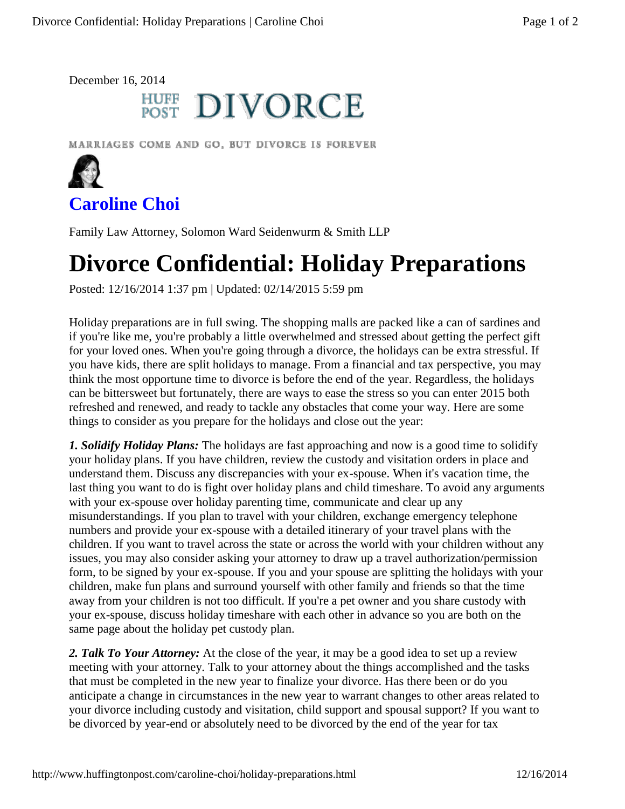December 16, 2014

## **HUFF DIVORCE**

MARRIAGES COME AND GO, BUT DIVORCE IS FOREVER



**Caroline Choi**

Family Law Attorney, Solomon Ward Seidenwurm & Smith LLP

## **Divorce Confidential: Holiday Preparations**

Posted: 12/16/2014 1:37 pm | Updated: 02/14/2015 5:59 pm

Holiday preparations are in full swing. The shopping malls are packed like a can of sardines and if you're like me, you're probably a little overwhelmed and stressed about getting the perfect gift for your loved ones. When you're going through a divorce, the holidays can be extra stressful. If you have kids, there are split holidays to manage. From a financial and tax perspective, you may think the most opportune time to divorce is before the end of the year. Regardless, the holidays can be bittersweet but fortunately, there are ways to ease the stress so you can enter 2015 both refreshed and renewed, and ready to tackle any obstacles that come your way. Here are some things to consider as you prepare for the holidays and close out the year:

*1. Solidify Holiday Plans:* The holidays are fast approaching and now is a good time to solidify your holiday plans. If you have children, review the custody and visitation orders in place and understand them. Discuss any discrepancies with your ex-spouse. When it's vacation time, the last thing you want to do is fight over holiday plans and child timeshare. To avoid any arguments with your ex-spouse over holiday parenting time, communicate and clear up any misunderstandings. If you plan to travel with your children, exchange emergency telephone numbers and provide your ex-spouse with a detailed itinerary of your travel plans with the children. If you want to travel across the state or across the world with your children without any issues, you may also consider asking your attorney to draw up a travel authorization/permission form, to be signed by your ex-spouse. If you and your spouse are splitting the holidays with your children, make fun plans and surround yourself with other family and friends so that the time away from your children is not too difficult. If you're a pet owner and you share custody with your ex-spouse, discuss holiday timeshare with each other in advance so you are both on the same page about the holiday pet custody plan.

*2. Talk To Your Attorney:* At the close of the year, it may be a good idea to set up a review meeting with your attorney. Talk to your attorney about the things accomplished and the tasks that must be completed in the new year to finalize your divorce. Has there been or do you anticipate a change in circumstances in the new year to warrant changes to other areas related to your divorce including custody and visitation, child support and spousal support? If you want to be divorced by year-end or absolutely need to be divorced by the end of the year for tax